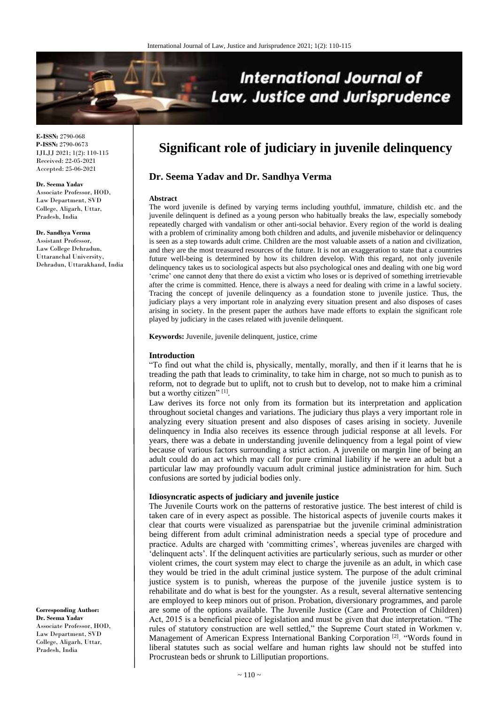

**E-ISSN:** 2790-068 **P-ISSN:** 2790-0673 IJLJJ 2021; 1(2): 110-115 Received: 22-05-2021 Accepted: 25-06-2021

#### **Dr. Seema Yadav**

Associate Professor, HOD, Law Department, SVD College, Aligarh, Uttar, Pradesh, India

**Dr. Sandhya Verma** Assistant Professor, Law College Dehradun, Uttaranchal University, Dehradun, Uttarakhand, India

**Corresponding Author: Dr. Seema Yadav** Associate Professor, HOD, Law Department, SVD College, Aligarh, Uttar, Pradesh, India

# **Significant role of judiciary in juvenile delinquency**

# **Dr. Seema Yadav and Dr. Sandhya Verma**

#### **Abstract**

The word juvenile is defined by varying terms including youthful, immature, childish etc. and the juvenile delinquent is defined as a young person who habitually breaks the law, especially somebody repeatedly charged with vandalism or other anti-social behavior. Every region of the world is dealing with a problem of criminality among both children and adults, and juvenile misbehavior or delinquency is seen as a step towards adult crime. Children are the most valuable assets of a nation and civilization, and they are the most treasured resources of the future. It is not an exaggeration to state that a countries future well-being is determined by how its children develop. With this regard, not only juvenile delinquency takes us to sociological aspects but also psychological ones and dealing with one big word 'crime' one cannot deny that there do exist a victim who loses or is deprived of something irretrievable after the crime is committed. Hence, there is always a need for dealing with crime in a lawful society. Tracing the concept of juvenile delinquency as a foundation stone to juvenile justice. Thus, the judiciary plays a very important role in analyzing every situation present and also disposes of cases arising in society. In the present paper the authors have made efforts to explain the significant role played by judiciary in the cases related with juvenile delinquent.

**Keywords:** Juvenile, juvenile delinquent, justice, crime

## **Introduction**

"To find out what the child is, physically, mentally, morally, and then if it learns that he is treading the path that leads to criminality, to take him in charge, not so much to punish as to reform, not to degrade but to uplift, not to crush but to develop, not to make him a criminal but a worthy citizen" [1].

Law derives its force not only from its formation but its interpretation and application throughout societal changes and variations. The judiciary thus plays a very important role in analyzing every situation present and also disposes of cases arising in society. Juvenile delinquency in India also receives its essence through judicial response at all levels. For years, there was a debate in understanding juvenile delinquency from a legal point of view because of various factors surrounding a strict action. A juvenile on margin line of being an adult could do an act which may call for pure criminal liability if he were an adult but a particular law may profoundly vacuum adult criminal justice administration for him. Such confusions are sorted by judicial bodies only.

### **Idiosyncratic aspects of judiciary and juvenile justice**

The Juvenile Courts work on the patterns of restorative justice. The best interest of child is taken care of in every aspect as possible. The historical aspects of juvenile courts makes it clear that courts were visualized as parenspatriae but the juvenile criminal administration being different from adult criminal administration needs a special type of procedure and practice. Adults are charged with 'committing crimes', whereas juveniles are charged with 'delinquent acts'. If the delinquent activities are particularly serious, such as murder or other violent crimes, the court system may elect to charge the juvenile as an adult, in which case they would be tried in the adult criminal justice system. The purpose of the adult criminal justice system is to punish, whereas the purpose of the juvenile justice system is to rehabilitate and do what is best for the youngster. As a result, several alternative sentencing are employed to keep minors out of prison. Probation, diversionary programmes, and parole are some of the options available. The Juvenile Justice (Care and Protection of Children) Act, 2015 is a beneficial piece of legislation and must be given that due interpretation. "The rules of statutory construction are well settled," the Supreme Court stated in Workmen v. Management of American Express International Banking Corporation [2]. "Words found in liberal statutes such as social welfare and human rights law should not be stuffed into Procrustean beds or shrunk to Lilliputian proportions.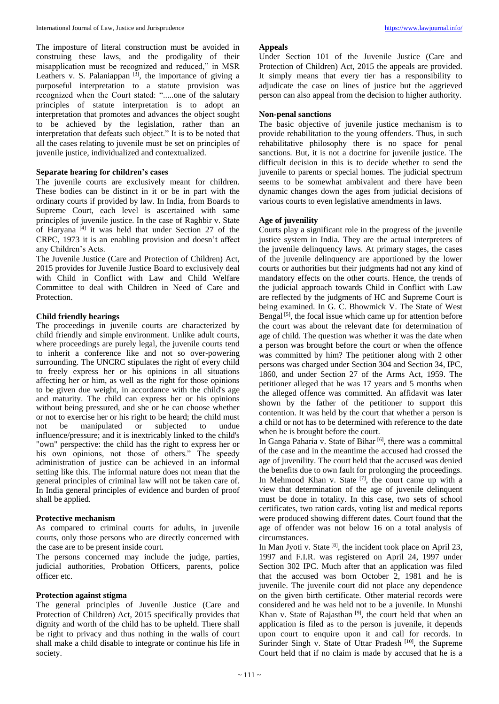The imposture of literal construction must be avoided in construing these laws, and the prodigality of their misapplication must be recognized and reduced," in MSR Leathers v. S. Palaniappan  $[3]$ , the importance of giving a purposeful interpretation to a statute provision was recognized when the Court stated: ".....one of the salutary principles of statute interpretation is to adopt an interpretation that promotes and advances the object sought to be achieved by the legislation, rather than an interpretation that defeats such object." It is to be noted that all the cases relating to juvenile must be set on principles of juvenile justice, individualized and contextualized.

# **Separate hearing for children's cases**

The juvenile courts are exclusively meant for children. These bodies can be distinct in it or be in part with the ordinary courts if provided by law. In India, from Boards to Supreme Court, each level is ascertained with same principles of juvenile justice. In the case of Raghbir v. State of Haryana<sup>[4]</sup> it was held that under Section 27 of the CRPC, 1973 it is an enabling provision and doesn't affect any Children's Acts.

The Juvenile Justice (Care and Protection of Children) Act, 2015 provides for Juvenile Justice Board to exclusively deal with Child in Conflict with Law and Child Welfare Committee to deal with Children in Need of Care and Protection.

## **Child friendly hearings**

The proceedings in juvenile courts are characterized by child friendly and simple environment. Unlike adult courts, where proceedings are purely legal, the juvenile courts tend to inherit a conference like and not so over-powering surrounding. The UNCRC stipulates the right of every child to freely express her or his opinions in all situations affecting her or him, as well as the right for those opinions to be given due weight, in accordance with the child's age and maturity. The child can express her or his opinions without being pressured, and she or he can choose whether or not to exercise her or his right to be heard; the child must not be manipulated or subjected to undue influence/pressure; and it is inextricably linked to the child's "own" perspective: the child has the right to express her or his own opinions, not those of others." The speedy administration of justice can be achieved in an informal setting like this. The informal nature does not mean that the general principles of criminal law will not be taken care of. In India general principles of evidence and burden of proof shall be applied.

## **Protective mechanism**

As compared to criminal courts for adults, in juvenile courts, only those persons who are directly concerned with the case are to be present inside court.

The persons concerned may include the judge, parties, judicial authorities, Probation Officers, parents, police officer etc.

## **Protection against stigma**

The general principles of Juvenile Justice (Care and Protection of Children) Act, 2015 specifically provides that dignity and worth of the child has to be upheld. There shall be right to privacy and thus nothing in the walls of court shall make a child disable to integrate or continue his life in society.

#### **Appeals**

Under Section 101 of the Juvenile Justice (Care and Protection of Children) Act, 2015 the appeals are provided. It simply means that every tier has a responsibility to adjudicate the case on lines of justice but the aggrieved person can also appeal from the decision to higher authority.

## **Non-penal sanctions**

The basic objective of juvenile justice mechanism is to provide rehabilitation to the young offenders. Thus, in such rehabilitative philosophy there is no space for penal sanctions. But, it is not a doctrine for juvenile justice. The difficult decision in this is to decide whether to send the juvenile to parents or special homes. The judicial spectrum seems to be somewhat ambivalent and there have been dynamic changes down the ages from judicial decisions of various courts to even legislative amendments in laws.

## **Age of juvenility**

Courts play a significant role in the progress of the juvenile justice system in India. They are the actual interpreters of the juvenile delinquency laws. At primary stages, the cases of the juvenile delinquency are apportioned by the lower courts or authorities but their judgments had not any kind of mandatory effects on the other courts. Hence, the trends of the judicial approach towards Child in Conflict with Law are reflected by the judgments of HC and Supreme Court is being examined. In G. C. Bhowmick V. The State of West Bengal  $[5]$ , the focal issue which came up for attention before the court was about the relevant date for determination of age of child. The question was whether it was the date when a person was brought before the court or when the offence was committed by him? The petitioner along with 2 other persons was charged under Section 304 and Section 34, IPC, 1860, and under Section 27 of the Arms Act, 1959. The petitioner alleged that he was 17 years and 5 months when the alleged offence was committed. An affidavit was later shown by the father of the petitioner to support this contention. It was held by the court that whether a person is a child or not has to be determined with reference to the date when he is brought before the court.

In Ganga Paharia v. State of Bihar<sup>[6]</sup>, there was a committal of the case and in the meantime the accused had crossed the age of juvenility. The court held that the accused was denied the benefits due to own fault for prolonging the proceedings. In Mehmood Khan v. State <sup>[7]</sup>, the court came up with a view that determination of the age of juvenile delinquent must be done in totality. In this case, two sets of school certificates, two ration cards, voting list and medical reports were produced showing different dates. Court found that the age of offender was not below 16 on a total analysis of circumstances.

In Man Jyoti v. State  $[8]$ , the incident took place on April 23, 1997 and F.I.R. was registered on April 24, 1997 under Section 302 IPC. Much after that an application was filed that the accused was born October 2, 1981 and he is juvenile. The juvenile court did not place any dependence on the given birth certificate. Other material records were considered and he was held not to be a juvenile. In Munshi Khan v. State of Rajasthan<sup>[9]</sup>, the court held that when an application is filed as to the person is juvenile, it depends upon court to enquire upon it and call for records. In Surinder Singh v. State of Uttar Pradesh<sup>[10]</sup>, the Supreme Court held that if no claim is made by accused that he is a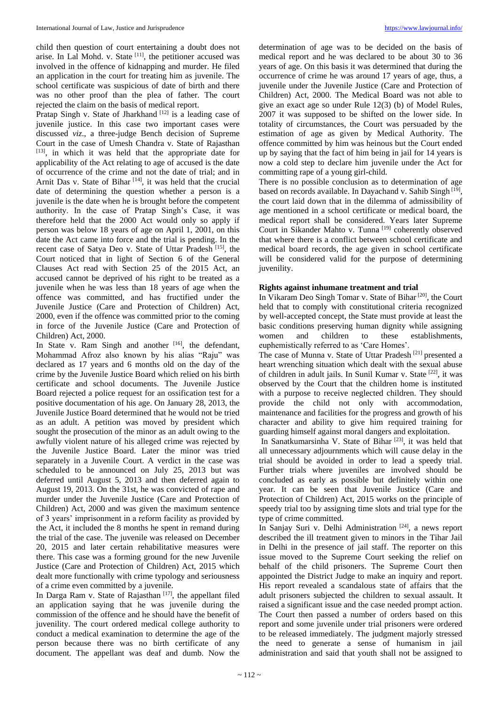child then question of court entertaining a doubt does not arise. In Lal Mohd. v. State [11], the petitioner accused was involved in the offence of kidnapping and murder. He filed an application in the court for treating him as juvenile. The school certificate was suspicious of date of birth and there was no other proof than the plea of father. The court rejected the claim on the basis of medical report.

Pratap Singh v. State of Jharkhand  $[12]$  is a leading case of juvenile justice. In this case two important cases were discussed *viz*., a three-judge Bench decision of Supreme Court in the case of Umesh Chandra v. State of Rajasthan [13], in which it was held that the appropriate date for applicability of the Act relating to age of accused is the date of occurrence of the crime and not the date of trial; and in Arnit Das v. State of Bihar<sup>[14]</sup>, it was held that the crucial date of determining the question whether a person is a juvenile is the date when he is brought before the competent authority. In the case of Pratap Singh's Case, it was therefore held that the 2000 Act would only so apply if person was below 18 years of age on April 1, 2001, on this date the Act came into force and the trial is pending. In the recent case of Satya Deo v. State of Uttar Pradesh<sup>[15]</sup>, the Court noticed that in light of Section 6 of the General Clauses Act read with Section 25 of the 2015 Act, an accused cannot be deprived of his right to be treated as a juvenile when he was less than 18 years of age when the offence was committed, and has fructified under the Juvenile Justice (Care and Protection of Children) Act, 2000, even if the offence was committed prior to the coming in force of the Juvenile Justice (Care and Protection of Children) Act, 2000.

In State v. Ram Singh and another  $[16]$ , the defendant, Mohammad Afroz also known by his alias "Raju" was declared as 17 years and 6 months old on the day of the crime by the Juvenile Justice Board which relied on his birth certificate and school documents. The Juvenile Justice Board rejected a police request for an ossification test for a positive documentation of his age. On January 28, 2013, the Juvenile Justice Board determined that he would not be tried as an adult. A petition was moved by president which sought the prosecution of the minor as an adult owing to the awfully violent nature of his alleged crime was rejected by the Juvenile Justice Board. Later the minor was tried separately in a Juvenile Court. A verdict in the case was scheduled to be announced on July 25, 2013 but was deferred until August 5, 2013 and then deferred again to August 19, 2013. On the 31st, he was convicted of rape and murder under the Juvenile Justice (Care and Protection of Children) Act, 2000 and was given the maximum sentence of 3 years' imprisonment in a reform facility as provided by the Act, it included the 8 months he spent in remand during the trial of the case. The juvenile was released on December 20, 2015 and later certain rehabilitative measures were there. This case was a forming ground for the new Juvenile Justice (Care and Protection of Children) Act, 2015 which dealt more functionally with crime typology and seriousness of a crime even committed by a juvenile.

In Darga Ram v. State of Rajasthan<sup>[17]</sup>, the appellant filed an application saying that he was juvenile during the commission of the offence and he should have the benefit of juvenility. The court ordered medical college authority to conduct a medical examination to determine the age of the person because there was no birth certificate of any document. The appellant was deaf and dumb. Now the

determination of age was to be decided on the basis of medical report and he was declared to be about 30 to 36 years of age. On this basis it was determined that during the occurrence of crime he was around 17 years of age, thus, a juvenile under the Juvenile Justice (Care and Protection of Children) Act, 2000. The Medical Board was not able to give an exact age so under Rule 12(3) (b) of Model Rules, 2007 it was supposed to be shifted on the lower side. In totality of circumstances, the Court was persuaded by the estimation of age as given by Medical Authority. The offence committed by him was heinous but the Court ended up by saying that the fact of him being in jail for 14 years is now a cold step to declare him juvenile under the Act for committing rape of a young girl-child.

There is no possible conclusion as to determination of age based on records available. In Dayachand v. Sahib Singh [19], the court laid down that in the dilemma of admissibility of age mentioned in a school certificate or medical board, the medical report shall be considered. Years later Supreme Court in Sikander Mahto v. Tunna<sup>[19]</sup> coherently observed that where there is a conflict between school certificate and medical board records, the age given in school certificate will be considered valid for the purpose of determining juvenility.

# **Rights against inhumane treatment and trial**

In Vikaram Deo Singh Tomar v. State of Bihar [20], the Court held that to comply with constitutional criteria recognized by well-accepted concept, the State must provide at least the basic conditions preserving human dignity while assigning women and children to these establishments, euphemistically referred to as 'Care Homes'.

The case of Munna v. State of Uttar Pradesh<sup>[21]</sup> presented a heart wrenching situation which dealt with the sexual abuse of children in adult jails. In Sunil Kumar v. State [22], it was observed by the Court that the children home is instituted with a purpose to receive neglected children. They should provide the child not only with accommodation, maintenance and facilities for the progress and growth of his character and ability to give him required training for guarding himself against moral dangers and exploitation.

In Sanatkumarsinha V. State of Bihar [23], it was held that all unnecessary adjournments which will cause delay in the trial should be avoided in order to lead a speedy trial. Further trials where juveniles are involved should be concluded as early as possible but definitely within one year. It can be seen that Juvenile Justice (Care and Protection of Children) Act, 2015 works on the principle of speedy trial too by assigning time slots and trial type for the type of crime committed.

In Sanjay Suri v. Delhi Administration<sup>[24]</sup>, a news report described the ill treatment given to minors in the Tihar Jail in Delhi in the presence of jail staff. The reporter on this issue moved to the Supreme Court seeking the relief on behalf of the child prisoners. The Supreme Court then appointed the District Judge to make an inquiry and report. His report revealed a scandalous state of affairs that the adult prisoners subjected the children to sexual assault. It raised a significant issue and the case needed prompt action. The Court then passed a number of orders based on this report and some juvenile under trial prisoners were ordered to be released immediately. The judgment majorly stressed the need to generate a sense of humanism in jail administration and said that youth shall not be assigned to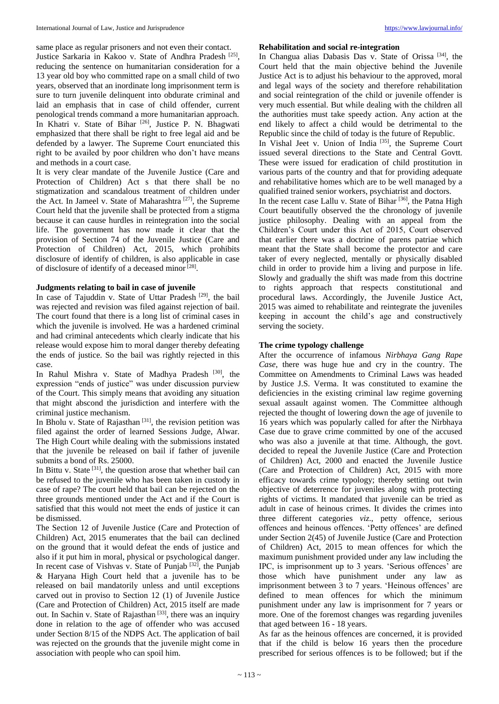same place as regular prisoners and not even their contact. Justice Sarkaria in Kakoo v. State of Andhra Pradesh<sup>[25]</sup>, reducing the sentence on humanitarian consideration for a 13 year old boy who committed rape on a small child of two years, observed that an inordinate long imprisonment term is sure to turn juvenile delinquent into obdurate criminal and laid an emphasis that in case of child offender, current penological trends command a more humanitarian approach. In Khatri v. State of Bihar <sup>[26]</sup>, Justice P. N. Bhagwati emphasized that there shall be right to free legal aid and be defended by a lawyer. The Supreme Court enunciated this right to be availed by poor children who don't have means and methods in a court case.

It is very clear mandate of the Juvenile Justice (Care and Protection of Children) Act s that there shall be no stigmatization and scandalous treatment of children under the Act. In Jameel v. State of Maharashtra [27], the Supreme Court held that the juvenile shall be protected from a stigma because it can cause hurdles in reintegration into the social life. The government has now made it clear that the provision of Section 74 of the Juvenile Justice (Care and Protection of Children) Act, 2015, which prohibits disclosure of identify of children, is also applicable in case of disclosure of identify of a deceased minor [28].

# **Judgments relating to bail in case of juvenile**

In case of Tajuddin v. State of Uttar Pradesh [29], the bail was rejected and revision was filed against rejection of bail. The court found that there is a long list of criminal cases in which the juvenile is involved. He was a hardened criminal and had criminal antecedents which clearly indicate that his release would expose him to moral danger thereby defeating the ends of justice. So the bail was rightly rejected in this case.

In Rahul Mishra v. State of Madhya Pradesh [30], the expression "ends of justice" was under discussion purview of the Court. This simply means that avoiding any situation that might abscond the jurisdiction and interfere with the criminal justice mechanism.

In Bholu v. State of Rajasthan<sup>[31]</sup>, the revision petition was filed against the order of learned Sessions Judge, Alwar. The High Court while dealing with the submissions instated that the juvenile be released on bail if father of juvenile submits a bond of Rs. 25000.

In Bittu v. State <sup>[31]</sup>, the question arose that whether bail can be refused to the juvenile who has been taken in custody in case of rape? The court held that bail can be rejected on the three grounds mentioned under the Act and if the Court is satisfied that this would not meet the ends of justice it can be dismissed.

The Section 12 of Juvenile Justice (Care and Protection of Children) Act, 2015 enumerates that the bail can declined on the ground that it would defeat the ends of justice and also if it put him in moral, physical or psychological danger. In recent case of Vishvas v. State of Punjab [32], the Punjab & Haryana High Court held that a juvenile has to be released on bail mandatorily unless and until exceptions carved out in proviso to Section 12 (1) of Juvenile Justice (Care and Protection of Children) Act, 2015 itself are made out. In Sachin v. State of Rajasthan<sup>[33]</sup>, there was an inquiry done in relation to the age of offender who was accused under Section 8/15 of the NDPS Act. The application of bail was rejected on the grounds that the juvenile might come in association with people who can spoil him.

# **Rehabilitation and social re-integration**

In Changua alias Dabasis Das v. State of Orissa<sup>[34]</sup>, the Court held that the main objective behind the Juvenile Justice Act is to adjust his behaviour to the approved, moral and legal ways of the society and therefore rehabilitation and social reintegration of the child or juvenile offender is very much essential. But while dealing with the children all the authorities must take speedy action. Any action at the end likely to affect a child would be detrimental to the Republic since the child of today is the future of Republic.

In Vishal Jeet v. Union of India<sup>[35]</sup>, the Supreme Court issued several directions to the State and Central Govtt. These were issued for eradication of child prostitution in various parts of the country and that for providing adequate and rehabilitative homes which are to be well managed by a qualified trained senior workers, psychiatrist and doctors.

In the recent case Lallu v. State of Bihar [36], the Patna High Court beautifully observed the the chronology of juvenile justice philosophy. Dealing with an appeal from the Children's Court under this Act of 2015, Court observed that earlier there was a doctrine of parens patriae which meant that the State shall become the protector and care taker of every neglected, mentally or physically disabled child in order to provide him a living and purpose in life. Slowly and gradually the shift was made from this doctrine to rights approach that respects constitutional and procedural laws. Accordingly, the Juvenile Justice Act, 2015 was aimed to rehabilitate and reintegrate the juveniles keeping in account the child's age and constructively serving the society.

# **The crime typology challenge**

After the occurrence of infamous *Nirbhaya Gang Rape Case*, there was huge hue and cry in the country. The Committee on Amendments to Criminal Laws was headed by Justice J.S. Verma. It was constituted to examine the deficiencies in the existing criminal law regime governing sexual assault against women. The Committee although rejected the thought of lowering down the age of juvenile to 16 years which was popularly called for after the Nirbhaya Case due to grave crime committed by one of the accused who was also a juvenile at that time. Although, the govt. decided to repeal the Juvenile Justice (Care and Protection of Children) Act, 2000 and enacted the Juvenile Justice (Care and Protection of Children) Act, 2015 with more efficacy towards crime typology; thereby setting out twin objective of deterrence for juveniles along with protecting rights of victims. It mandated that juvenile can be tried as adult in case of heinous crimes. It divides the crimes into three different categories *viz*., petty offence, serious offences and heinous offences. 'Petty offences' are defined under Section 2(45) of Juvenile Justice (Care and Protection of Children) Act, 2015 to mean offences for which the maximum punishment provided under any law including the IPC, is imprisonment up to 3 years. 'Serious offences' are those which have punishment under any law as imprisonment between 3 to 7 years. 'Heinous offences' are defined to mean offences for which the minimum punishment under any law is imprisonment for 7 years or more. One of the foremost changes was regarding juveniles that aged between 16 - 18 years.

As far as the heinous offences are concerned, it is provided that if the child is below 16 years then the procedure prescribed for serious offences is to be followed; but if the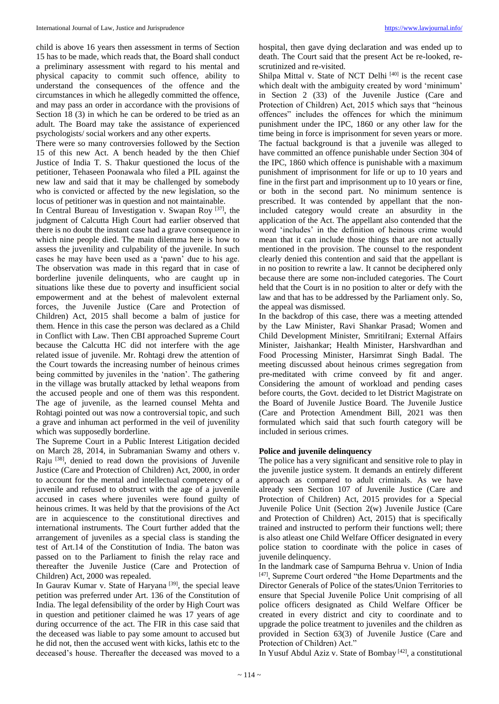child is above 16 years then assessment in terms of Section 15 has to be made, which reads that, the Board shall conduct a preliminary assessment with regard to his mental and physical capacity to commit such offence, ability to understand the consequences of the offence and the circumstances in which he allegedly committed the offence, and may pass an order in accordance with the provisions of Section 18 (3) in which he can be ordered to be tried as an

adult. The Board may take the assistance of experienced psychologists/ social workers and any other experts.

There were so many controversies followed by the Section 15 of this new Act. A bench headed by the then Chief Justice of India T. S. Thakur questioned the locus of the petitioner, Tehaseen Poonawala who filed a PIL against the new law and said that it may be challenged by somebody who is convicted or affected by the new legislation, so the locus of petitioner was in question and not maintainable.

In Central Bureau of Investigation v. Swapan Roy [37], the judgment of Calcutta High Court had earlier observed that there is no doubt the instant case had a grave consequence in which nine people died. The main dilemma here is how to assess the juvenility and culpability of the juvenile. In such cases he may have been used as a 'pawn' due to his age. The observation was made in this regard that in case of borderline juvenile delinquents, who are caught up in situations like these due to poverty and insufficient social empowerment and at the behest of malevolent external forces, the Juvenile Justice (Care and Protection of Children) Act, 2015 shall become a balm of justice for them. Hence in this case the person was declared as a Child in Conflict with Law. Then CBI approached Supreme Court because the Calcutta HC did not interfere with the age related issue of juvenile. Mr. Rohtagi drew the attention of the Court towards the increasing number of heinous crimes being committed by juveniles in the 'nation'. The gathering in the village was brutally attacked by lethal weapons from the accused people and one of them was this respondent. The age of juvenile, as the learned counsel Mehta and Rohtagi pointed out was now a controversial topic, and such a grave and inhuman act performed in the veil of juvenility which was supposedly borderline.

The Supreme Court in a Public Interest Litigation decided on March 28, 2014, in Subramanian Swamy and others v. Raju [38], denied to read down the provisions of Juvenile Justice (Care and Protection of Children) Act, 2000, in order to account for the mental and intellectual competency of a juvenile and refused to obstruct with the age of a juvenile accused in cases where juveniles were found guilty of heinous crimes. It was held by that the provisions of the Act are in acquiescence to the constitutional directives and international instruments. The Court further added that the arrangement of juveniles as a special class is standing the test of Art.14 of the Constitution of India. The baton was passed on to the Parliament to finish the relay race and thereafter the Juvenile Justice (Care and Protection of Children) Act, 2000 was repealed.

In Gaurav Kumar v. State of Haryana<sup>[39]</sup>, the special leave petition was preferred under Art. 136 of the Constitution of India. The legal defensibility of the order by High Court was in question and petitioner claimed he was 17 years of age during occurrence of the act. The FIR in this case said that the deceased was liable to pay some amount to accused but he did not, then the accused went with kicks, lathis etc to the deceased's house. Thereafter the deceased was moved to a

hospital, then gave dying declaration and was ended up to death. The Court said that the present Act be re-looked, rescrutinized and re-visited.

Shilpa Mittal v. State of NCT Delhi<sup>[40]</sup> is the recent case which dealt with the ambiguity created by word 'minimum' in Section 2 (33) of the Juvenile Justice (Care and Protection of Children) Act, 2015 which says that "heinous offences" includes the offences for which the minimum punishment under the IPC, 1860 or any other law for the time being in force is imprisonment for seven years or more. The factual background is that a juvenile was alleged to have committed an offence punishable under Section 304 of the IPC, 1860 which offence is punishable with a maximum punishment of imprisonment for life or up to 10 years and fine in the first part and imprisonment up to 10 years or fine, or both in the second part. No minimum sentence is prescribed. It was contended by appellant that the nonincluded category would create an absurdity in the application of the Act. The appellant also contended that the word 'includes' in the definition of heinous crime would mean that it can include those things that are not actually mentioned in the provision. The counsel to the respondent clearly denied this contention and said that the appellant is in no position to rewrite a law. It cannot be deciphered only because there are some non-included categories. The Court held that the Court is in no position to alter or defy with the law and that has to be addressed by the Parliament only. So, the appeal was dismissed.

In the backdrop of this case, there was a meeting attended by the Law Minister, Ravi Shankar Prasad; Women and Child Development Minister, SmritiIrani; External Affairs Minister, Jaishankar; Health Minister, Harshvardhan and Food Processing Minister, Harsimrat Singh Badal. The meeting discussed about heinous crimes segregation from pre-meditated with crime conveed by fit and anger. Considering the amount of workload and pending cases before courts, the Govt. decided to let District Magistrate on the Board of Juvenile Justice Board. The Juvenile Justice (Care and Protection Amendment Bill, 2021 was then formulated which said that such fourth category will be included in serious crimes.

# **Police and juvenile delinquency**

The police has a very significant and sensitive role to play in the juvenile justice system. It demands an entirely different approach as compared to adult criminals. As we have already seen Section 107 of Juvenile Justice (Care and Protection of Children) Act, 2015 provides for a Special Juvenile Police Unit (Section 2(w) Juvenile Justice (Care and Protection of Children) Act, 2015) that is specifically trained and instructed to perform their functions well; there is also atleast one Child Welfare Officer designated in every police station to coordinate with the police in cases of juvenile delinquency.

In the landmark case of Sampurna Behrua v. Union of India [47], Supreme Court ordered "the Home Departments and the Director Generals of Police of the states/Union Territories to ensure that Special Juvenile Police Unit comprising of all police officers designated as Child Welfare Officer be created in every district and city to coordinate and to upgrade the police treatment to juveniles and the children as provided in Section 63(3) of Juvenile Justice (Care and Protection of Children) Act."

In Yusuf Abdul Aziz v. State of Bombay [42], a constitutional